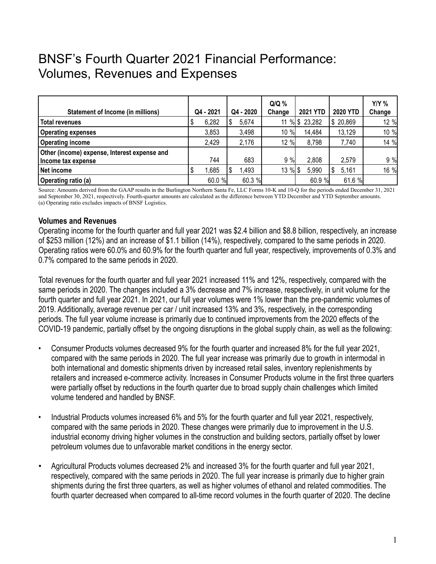## BNSF's Fourth Quarter 2021 Financial Performance: Volumes, Revenues and Expenses

| <b>Statement of Income (in millions)</b>                           | Q4 - 2021 | Q4 - 2020 | $Q/Q$ %<br>Change | <b>2021 YTD</b> | <b>2020 YTD</b> | <b>Y/Y %</b><br>Change |
|--------------------------------------------------------------------|-----------|-----------|-------------------|-----------------|-----------------|------------------------|
| <b>Total revenues</b>                                              | 6,282     | 5,674     |                   | 11 % \$ 23,282  | \$20,869        | 12 %                   |
| <b>Operating expenses</b>                                          | 3,853     | 3,498     | 10 %              | 14,484          | 13,129          | 10 %                   |
| <b>Operating income</b>                                            | 2,429     | 2,176     | 12 %              | 8,798           | 7,740           | 14 %                   |
| Other (income) expense, Interest expense and<br>Income tax expense | 744       | 683       | 9%                | 2,808           | 2,579           | 9 %                    |
| Net income                                                         | 1,685     | .493      | 13 %              | 5,990           | 5,161<br>S      | 16 %                   |
| <b>Operating ratio (a)</b>                                         | 60.0 %    | 60.3 %    |                   | 60.9 %          | 61.6 %          |                        |

Source: Amounts derived from the GAAP results in the Burlington Northern Santa Fe, LLC Forms 10-K and 10-Q for the periods ended December 31, 2021 and September 30, 2021, respectively. Fourth-quarter amounts are calculated as the difference between YTD December and YTD September amounts. (a) Operating ratio excludes impacts of BNSF Logistics.

## **Volumes and Revenues**

Operating income for the fourth quarter and full year 2021 was \$2.4 billion and \$8.8 billion, respectively, an increase of \$253 million (12%) and an increase of \$1.1 billion (14%), respectively, compared to the same periods in 2020. Operating ratios were 60.0% and 60.9% for the fourth quarter and full year, respectively, improvements of 0.3% and 0.7% compared to the same periods in 2020.

Total revenues for the fourth quarter and full year 2021 increased 11% and 12%, respectively, compared with the same periods in 2020. The changes included a 3% decrease and 7% increase, respectively, in unit volume for the fourth quarter and full year 2021. In 2021, our full year volumes were 1% lower than the pre-pandemic volumes of 2019. Additionally, average revenue per car / unit increased 13% and 3%, respectively, in the corresponding periods. The full year volume increase is primarily due to continued improvements from the 2020 effects of the COVID-19 pandemic, partially offset by the ongoing disruptions in the global supply chain, as well as the following:

- Consumer Products volumes decreased 9% for the fourth quarter and increased 8% for the full year 2021, compared with the same periods in 2020. The full year increase was primarily due to growth in intermodal in both international and domestic shipments driven by increased retail sales, inventory replenishments by retailers and increased e-commerce activity. Increases in Consumer Products volume in the first three quarters were partially offset by reductions in the fourth quarter due to broad supply chain challenges which limited volume tendered and handled by BNSF.
- Industrial Products volumes increased 6% and 5% for the fourth quarter and full year 2021, respectively, compared with the same periods in 2020. These changes were primarily due to improvement in the U.S. industrial economy driving higher volumes in the construction and building sectors, partially offset by lower petroleum volumes due to unfavorable market conditions in the energy sector.
- Agricultural Products volumes decreased 2% and increased 3% for the fourth quarter and full year 2021, respectively, compared with the same periods in 2020. The full year increase is primarily due to higher grain shipments during the first three quarters, as well as higher volumes of ethanol and related commodities. The fourth quarter decreased when compared to all-time record volumes in the fourth quarter of 2020. The decline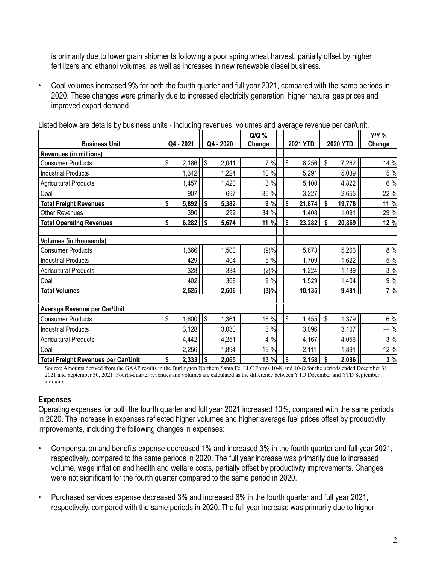is primarily due to lower grain shipments following a poor spring wheat harvest, partially offset by higher fertilizers and ethanol volumes, as well as increases in new renewable diesel business.

• Coal volumes increased 9% for both the fourth quarter and full year 2021, compared with the same periods in 2020. These changes were primarily due to increased electricity generation, higher natural gas prices and improved export demand.

| Listed below are details by business units - including revenues, volumes and average revenue per car/unit. |  |  |
|------------------------------------------------------------------------------------------------------------|--|--|
|                                                                                                            |  |  |

|                                            |                    |                         |           | $Q/Q$ % |                 |        |          |        | <b>Y/Y %</b> |
|--------------------------------------------|--------------------|-------------------------|-----------|---------|-----------------|--------|----------|--------|--------------|
| <b>Business Unit</b>                       | Q4 - 2021          |                         | Q4 - 2020 | Change  | <b>2021 YTD</b> |        | 2020 YTD |        | Change       |
| <b>Revenues (in millions)</b>              |                    |                         |           |         |                 |        |          |        |              |
| <b>Consumer Products</b>                   | \$<br>2,186        | $\sqrt{3}$              | 2,041     | 7 %     | \$              | 8,256  | \$       | 7,262  | 14 %         |
| <b>Industrial Products</b>                 | 1,342              |                         | 1,224     | 10 %    |                 | 5,291  |          | 5,039  | 5 %          |
| <b>Agricultural Products</b>               | 1,457              |                         | 1,420     | 3%      |                 | 5,100  |          | 4,822  | 6 %          |
| Coal                                       | 907                |                         | 697       | 30 %    |                 | 3,227  |          | 2,655  | 22 %         |
| <b>Total Freight Revenues</b>              | \$<br>5,892        | l\$                     | 5,382     | 9%      | $\mathbf{s}$    | 21,874 | \$       | 19,778 | 11 %         |
| Other Revenues                             | 390                |                         | 292       | 34 %    |                 | 1,408  |          | 1,091  | 29 %         |
| <b>Total Operating Revenues</b>            | \$<br>6,282        | $\overline{\mathsf{S}}$ | 5,674     | 11 %    | \$              | 23,282 | \$       | 20,869 | 12 %         |
| <b>Volumes (in thousands)</b>              |                    |                         |           |         |                 |        |          |        |              |
| <b>Consumer Products</b>                   | 1,366              |                         | 1,500     | (9)%    |                 | 5,673  |          | 5,266  | 8 %          |
| <b>Industrial Products</b>                 | 429                |                         | 404       | 6 %     |                 | 1,709  |          | 1,622  | 5 %          |
| <b>Agricultural Products</b>               | 328                |                         | 334       | (2)%    |                 | 1,224  |          | 1,189  | 3 %          |
| Coal                                       | 402                |                         | 368       | 9 %     |                 | 1,529  |          | 1,404  | 9 %          |
| <b>Total Volumes</b>                       | 2,525              |                         | 2,606     | (3)%    |                 | 10,135 |          | 9,481  | 7%           |
| Average Revenue per Car/Unit               |                    |                         |           |         |                 |        |          |        |              |
| <b>Consumer Products</b>                   | \$<br>$1,600$   \$ |                         | 1,361     | 18 %    | \$              | 1,455  | l\$      | 1,379  | 6 %          |
| <b>Industrial Products</b>                 | 3,128              |                         | 3,030     | 3%      |                 | 3,096  |          | 3,107  | $-$ %        |
| <b>Agricultural Products</b>               | 4,442              |                         | 4,251     | 4 %     |                 | 4,167  |          | 4,056  | 3 %          |
| Coal                                       | 2,256              |                         | 1,894     | 19 %    |                 | 2,111  |          | 1,891  | 12 %         |
| <b>Total Freight Revenues per Car/Unit</b> | \$<br>$2,333$ \$   |                         | 2,065     | 13 %    | \$              | 2,158  | \$       | 2,086  | 3%           |

Source: Amounts derived from the GAAP results in the Burlington Northern Santa Fe, LLC Forms 10-K and 10-Q for the periods ended December 31, 2021 and September 30, 2021. Fourth-quarter revenues and volumes are calculated as the difference between YTD December and YTD September amounts.

## **Expenses**

Operating expenses for both the fourth quarter and full year 2021 increased 10%, compared with the same periods in 2020. The increase in expenses reflected higher volumes and higher average fuel prices offset by productivity improvements, including the following changes in expenses:

- Compensation and benefits expense decreased 1% and increased 3% in the fourth quarter and full year 2021, respectively, compared to the same periods in 2020. The full year increase was primarily due to increased volume, wage inflation and health and welfare costs, partially offset by productivity improvements. Changes were not significant for the fourth quarter compared to the same period in 2020.
- Purchased services expense decreased 3% and increased 6% in the fourth quarter and full year 2021, respectively, compared with the same periods in 2020. The full year increase was primarily due to higher